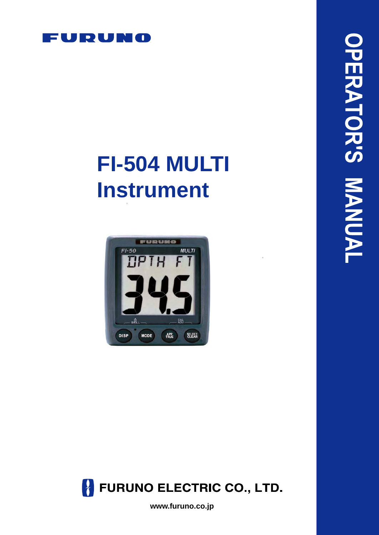

# **FI-504 MULTI Instrument**





**www.furuno.co.jp**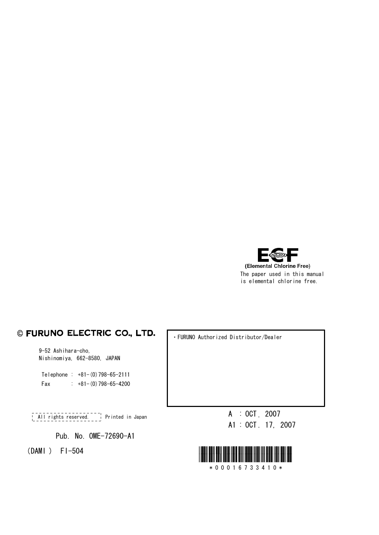

#### © FURUNO ELECTRIC CO., LTD.

9-52 Ashihara-cho, Nishinomiya, 662-8580, JAPAN

Telephone :  $+81-(0)798-65-2111$ Fax :  $+81-(0)798-65-4200$ 

A : OCT . 2007 All rights reserved. Printed in Japan

Pub. No. OME-72690-A1

・FURUNO Authorized Distributor/Dealer

A1 : OCT . 17, 2007

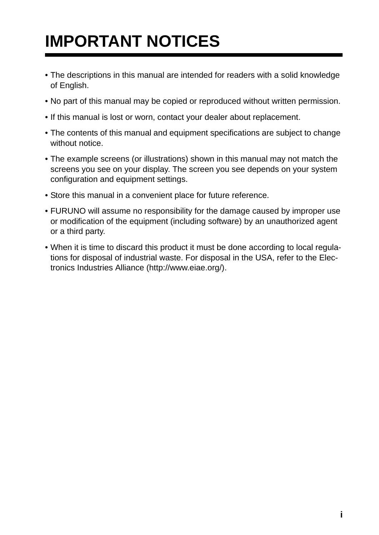# **IMPORTANT NOTICES**

- The descriptions in this manual are intended for readers with a solid knowledge of English.
- No part of this manual may be copied or reproduced without written permission.
- If this manual is lost or worn, contact your dealer about replacement.
- The contents of this manual and equipment specifications are subject to change without notice
- The example screens (or illustrations) shown in this manual may not match the screens you see on your display. The screen you see depends on your system configuration and equipment settings.
- Store this manual in a convenient place for future reference.
- FURUNO will assume no responsibility for the damage caused by improper use or modification of the equipment (including software) by an unauthorized agent or a third party.
- When it is time to discard this product it must be done according to local regulations for disposal of industrial waste. For disposal in the USA, refer to the Electronics Industries Alliance (http://www.eiae.org/).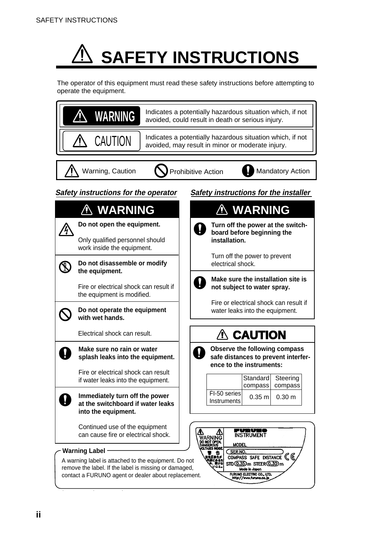# **SAFETY INSTRUCTIONS**

The operator of this equipment must read these safety instructions before attempting to operate the equipment.

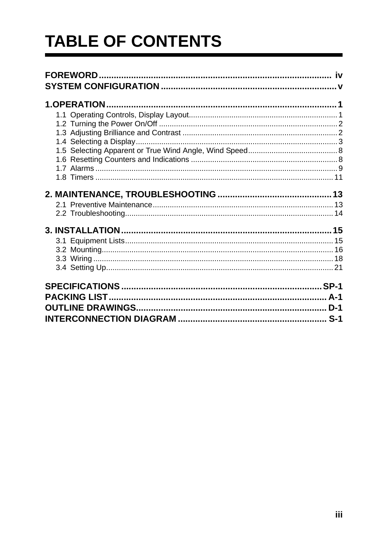# **TABLE OF CONTENTS**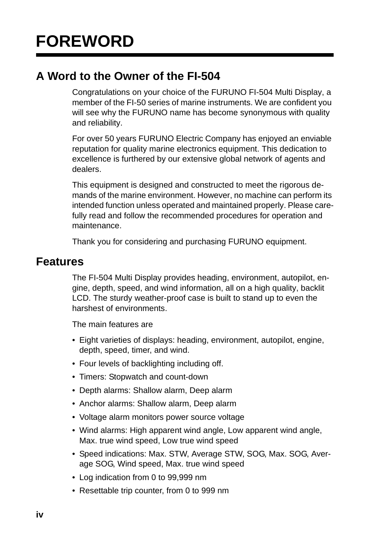# **A Word to the Owner of the FI-504**

Congratulations on your choice of the FURUNO FI-504 Multi Display, a member of the FI-50 series of marine instruments. We are confident you will see why the FURUNO name has become synonymous with quality and reliability.

For over 50 years FURUNO Electric Company has enjoyed an enviable reputation for quality marine electronics equipment. This dedication to excellence is furthered by our extensive global network of agents and dealers.

This equipment is designed and constructed to meet the rigorous demands of the marine environment. However, no machine can perform its intended function unless operated and maintained properly. Please carefully read and follow the recommended procedures for operation and maintenance.

Thank you for considering and purchasing FURUNO equipment.

# **Features**

The FI-504 Multi Display provides heading, environment, autopilot, engine, depth, speed, and wind information, all on a high quality, backlit LCD. The sturdy weather-proof case is built to stand up to even the harshest of environments.

The main features are

- Eight varieties of displays: heading, environment, autopilot, engine, depth, speed, timer, and wind.
- Four levels of backlighting including off.
- Timers: Stopwatch and count-down
- Depth alarms: Shallow alarm, Deep alarm
- Anchor alarms: Shallow alarm, Deep alarm
- Voltage alarm monitors power source voltage
- Wind alarms: High apparent wind angle, Low apparent wind angle, Max. true wind speed, Low true wind speed
- Speed indications: Max. STW, Average STW, SOG, Max. SOG, Average SOG, Wind speed, Max. true wind speed
- Log indication from 0 to 99,999 nm
- Resettable trip counter, from 0 to 999 nm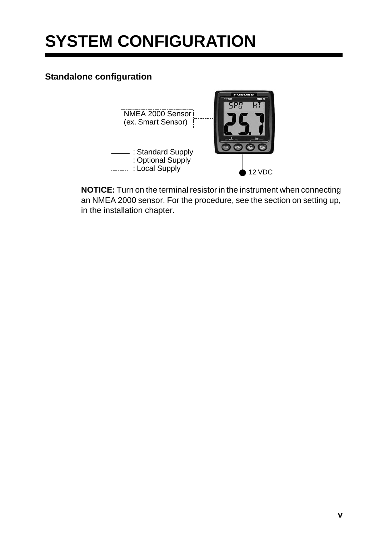# **SYSTEM CONFIGURATION**

## **Standalone configuration**



**NOTICE:** Turn on the terminal resistor in the instrument when connecting an NMEA 2000 sensor. For the procedure, see the section on setting up, in the installation chapter.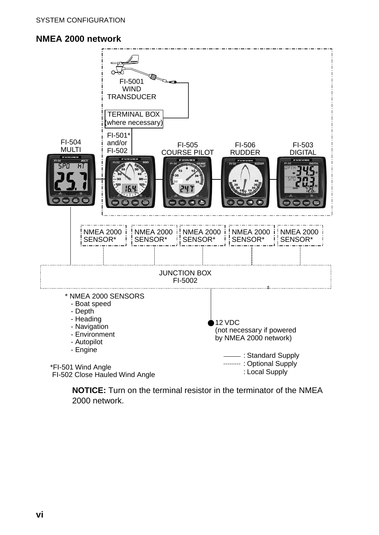## **NMEA 2000 network**



**NOTICE:** Turn on the terminal resistor in the terminator of the NMEA 2000 network.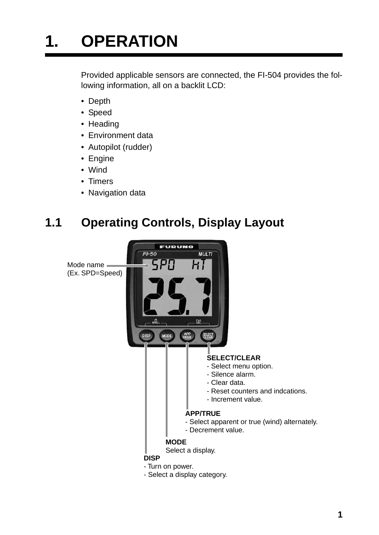# **1. OPERATION**

Provided applicable sensors are connected, the FI-504 provides the following information, all on a backlit LCD:

- Depth
- Speed
- Heading
- Environment data
- Autopilot (rudder)
- Engine
- Wind
- Timers
- Navigation data

# **1.1 Operating Controls, Display Layout**

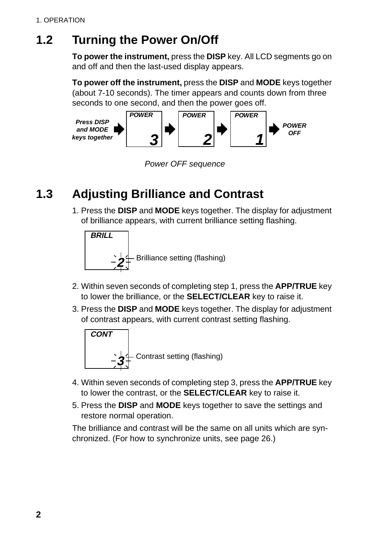# **1.2 Turning the Power On/Off**

**To power the instrument,** press the **DISP** key. All LCD segments go on and off and then the last-used display appears.

**To power off the instrument,** press the **DISP** and **MODE** keys together (about 7-10 seconds). The timer appears and counts down from three seconds to one second, and then the power goes off.



*Power OFF sequence*

# **1.3 Adjusting Brilliance and Contrast**

1. Press the **DISP** and **MODE** keys together. The display for adjustment of brilliance appears, with current brilliance setting flashing.



- 2. Within seven seconds of completing step 1, press the **APP/TRUE** key to lower the brilliance, or the **SELECT/CLEAR** key to raise it.
- 3. Press the **DISP** and **MODE** keys together. The display for adjustment of contrast appears, with current contrast setting flashing.



- 4. Within seven seconds of completing step 3, press the **APP/TRUE** key to lower the contrast, or the **SELECT/CLEAR** key to raise it.
- 5. Press the **DISP** and **MODE** keys together to save the settings and restore normal operation.

The brilliance and contrast will be the same on all units which are synchronized. (For how to synchronize units, see page 26.)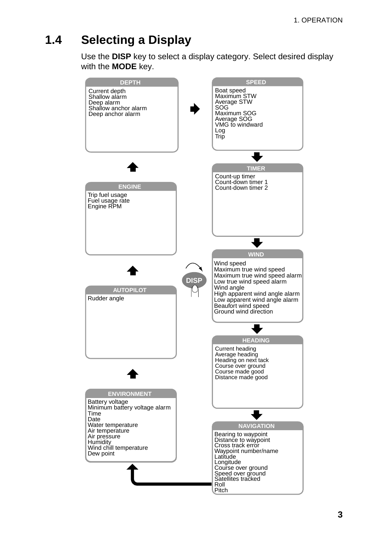# **1.4 Selecting a Display**

Use the **DISP** key to select a display category. Select desired display with the **MODE** key.

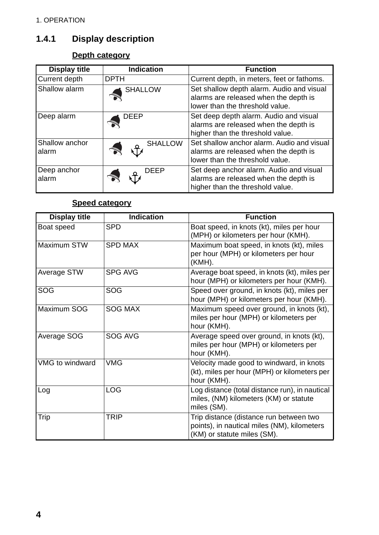# **1.4.1 Display description**

# **Depth category**

| <b>Display title</b>    | <b>Indication</b> | <b>Function</b>                                                                                                        |
|-------------------------|-------------------|------------------------------------------------------------------------------------------------------------------------|
| Current depth           | <b>DPTH</b>       | Current depth, in meters, feet or fathoms.                                                                             |
| Shallow alarm           | <b>SHALLOW</b>    | Set shallow depth alarm. Audio and visual<br>alarms are released when the depth is<br>lower than the threshold value.  |
| Deep alarm              | <b>DEEP</b>       | Set deep depth alarm. Audio and visual<br>alarms are released when the depth is<br>higher than the threshold value.    |
| Shallow anchor<br>alarm | <b>SHALLOW</b>    | Set shallow anchor alarm. Audio and visual<br>alarms are released when the depth is<br>lower than the threshold value. |
| Deep anchor<br>alarm    | <b>DEEP</b>       | Set deep anchor alarm. Audio and visual<br>alarms are released when the depth is<br>higher than the threshold value.   |

# **Speed category**

| <b>Display title</b> | <b>Indication</b> | <b>Function</b>                                                                                                       |
|----------------------|-------------------|-----------------------------------------------------------------------------------------------------------------------|
| Boat speed           | <b>SPD</b>        | Boat speed, in knots (kt), miles per hour<br>(MPH) or kilometers per hour (KMH).                                      |
| Maximum STW          | <b>SPD MAX</b>    | Maximum boat speed, in knots (kt), miles<br>per hour (MPH) or kilometers per hour<br>(KMH).                           |
| Average STW          | <b>SPG AVG</b>    | Average boat speed, in knots (kt), miles per<br>hour (MPH) or kilometers per hour (KMH).                              |
| SOG                  | <b>SOG</b>        | Speed over ground, in knots (kt), miles per<br>hour (MPH) or kilometers per hour (KMH).                               |
| Maximum SOG          | <b>SOG MAX</b>    | Maximum speed over ground, in knots (kt),<br>miles per hour (MPH) or kilometers per<br>hour (KMH).                    |
| Average SOG          | SOG AVG           | Average speed over ground, in knots (kt),<br>miles per hour (MPH) or kilometers per<br>hour (KMH).                    |
| VMG to windward      | <b>VMG</b>        | Velocity made good to windward, in knots<br>(kt), miles per hour (MPH) or kilometers per<br>hour (KMH).               |
| Log                  | LOG               | Log distance (total distance run), in nautical<br>miles, (NM) kilometers (KM) or statute<br>miles (SM).               |
| Trip                 | TRIP              | Trip distance (distance run between two<br>points), in nautical miles (NM), kilometers<br>(KM) or statute miles (SM). |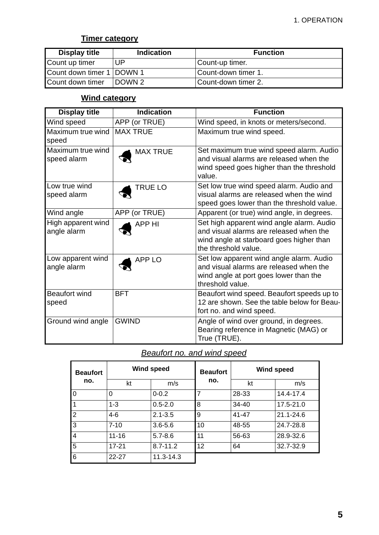#### **Timer category**

| <b>Display title</b>        | <b>Indication</b> | <b>Function</b>     |
|-----------------------------|-------------------|---------------------|
| Count up timer              | UP                | Count-up timer.     |
| Count down timer 1   DOWN 1 |                   | Count-down timer 1. |
| Count down timer            | DOWN <sub>2</sub> | Count-down timer 2. |

## **Wind category**

| <b>Display title</b>              | <b>Indication</b> | <b>Function</b>                                                                                                                                          |
|-----------------------------------|-------------------|----------------------------------------------------------------------------------------------------------------------------------------------------------|
| Wind speed                        | APP (or TRUE)     | Wind speed, in knots or meters/second.                                                                                                                   |
| Maximum true wind<br>speed        | <b>MAX TRUE</b>   | Maximum true wind speed.                                                                                                                                 |
| Maximum true wind<br>speed alarm  | <b>MAX TRUE</b>   | Set maximum true wind speed alarm. Audio<br>and visual alarms are released when the<br>wind speed goes higher than the threshold<br>value.               |
| Low true wind<br>speed alarm      | <b>TRUE LO</b>    | Set low true wind speed alarm. Audio and<br>visual alarms are released when the wind<br>speed goes lower than the threshold value.                       |
| Wind angle                        | APP (or TRUE)     | Apparent (or true) wind angle, in degrees.                                                                                                               |
| High apparent wind<br>angle alarm | <b>APP HI</b>     | Set high apparent wind angle alarm. Audio<br>and visual alarms are released when the<br>wind angle at starboard goes higher than<br>the threshold value. |
| Low apparent wind<br>angle alarm  | <b>APP LO</b>     | Set low apparent wind angle alarm. Audio<br>and visual alarms are released when the<br>wind angle at port goes lower than the<br>threshold value.        |
| <b>Beaufort wind</b><br>speed     | <b>BFT</b>        | Beaufort wind speed. Beaufort speeds up to<br>12 are shown. See the table below for Beau-<br>fort no. and wind speed.                                    |
| Ground wind angle                 | <b>GWIND</b>      | Angle of wind over ground, in degrees.<br>Bearing reference in Magnetic (MAG) or<br>True (TRUE).                                                         |

## *Beaufort no. and wind speed*

| <b>Beaufort</b> | <b>Wind speed</b> |               | <b>Beaufort</b> | <b>Wind speed</b> |               |
|-----------------|-------------------|---------------|-----------------|-------------------|---------------|
| no.             | kt                | m/s           | no.             | kt                | m/s           |
| $\Omega$        | 0                 | $0 - 0.2$     | $\overline{7}$  | 28-33             | 14.4-17.4     |
|                 | $1 - 3$           | $0.5 - 2.0$   | 8               | $34 - 40$         | 17.5-21.0     |
| 2               | 4-6               | $2.1 - 3.5$   | 9               | $41 - 47$         | $21.1 - 24.6$ |
| 3               | $7 - 10$          | $3.6 - 5.6$   | 10              | 48-55             | 24.7-28.8     |
| $\overline{4}$  | $11 - 16$         | $5.7 - 8.6$   | 11              | 56-63             | 28.9-32.6     |
| 5               | $17 - 21$         | $8.7 - 11.2$  | 12              | 64                | 32.7-32.9     |
| 6               | $22 - 27$         | $11.3 - 14.3$ |                 |                   |               |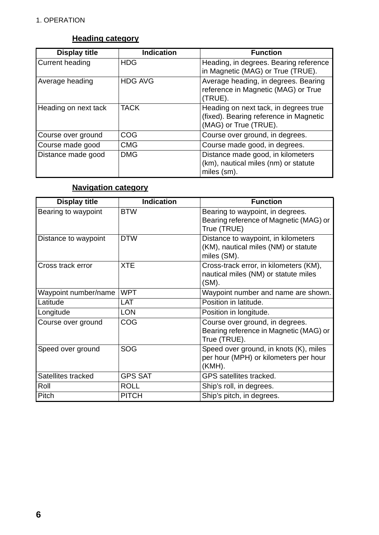# **Heading category**

| <b>Display title</b>   | <b>Indication</b> | <b>Function</b>                                                                                          |
|------------------------|-------------------|----------------------------------------------------------------------------------------------------------|
| <b>Current heading</b> | <b>HDG</b>        | Heading, in degrees. Bearing reference<br>in Magnetic (MAG) or True (TRUE).                              |
| Average heading        | <b>HDG AVG</b>    | Average heading, in degrees. Bearing<br>reference in Magnetic (MAG) or True<br>(TRUE).                   |
| Heading on next tack   | <b>TACK</b>       | Heading on next tack, in degrees true<br>(fixed). Bearing reference in Magnetic<br>(MAG) or True (TRUE). |
| Course over ground     | COG               | Course over ground, in degrees.                                                                          |
| Course made good       | <b>CMG</b>        | Course made good, in degrees.                                                                            |
| Distance made good     | <b>DMG</b>        | Distance made good, in kilometers<br>(km), nautical miles (nm) or statute<br>miles (sm).                 |

## **Navigation category**

| <b>Display title</b> | <b>Indication</b> | <b>Function</b>                                                                            |
|----------------------|-------------------|--------------------------------------------------------------------------------------------|
| Bearing to waypoint  | <b>BTW</b>        | Bearing to waypoint, in degrees.<br>Bearing reference of Magnetic (MAG) or<br>True (TRUE)  |
| Distance to waypoint | <b>DTW</b>        | Distance to waypoint, in kilometers<br>(KM), nautical miles (NM) or statute<br>miles (SM). |
| Cross track error    | <b>XTE</b>        | Cross-track error, in kilometers (KM),<br>nautical miles (NM) or statute miles<br>$(SM)$ . |
| Waypoint number/name | <b>WPT</b>        | Waypoint number and name are shown.                                                        |
| Latitude             | LAT               | Position in latitude.                                                                      |
| Longitude            | <b>LON</b>        | Position in longitude.                                                                     |
| Course over ground   | COG               | Course over ground, in degrees.<br>Bearing reference in Magnetic (MAG) or<br>True (TRUE).  |
| Speed over ground    | <b>SOG</b>        | Speed over ground, in knots (K), miles<br>per hour (MPH) or kilometers per hour<br>(KMH).  |
| Satellites tracked   | <b>GPS SAT</b>    | GPS satellites tracked.                                                                    |
| Roll                 | <b>ROLL</b>       | Ship's roll, in degrees.                                                                   |
| Pitch                | <b>PITCH</b>      | Ship's pitch, in degrees.                                                                  |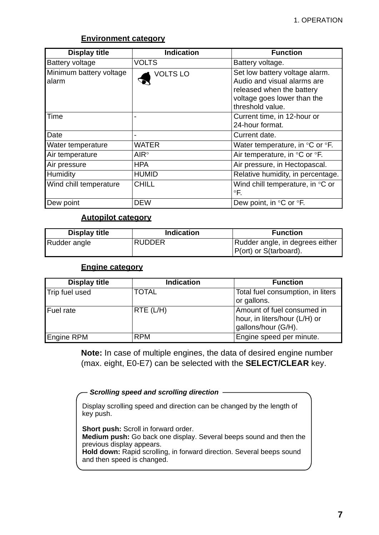| <b>Display title</b>             | <b>Indication</b> | <b>Function</b>                                                                                                                               |  |
|----------------------------------|-------------------|-----------------------------------------------------------------------------------------------------------------------------------------------|--|
| <b>Battery voltage</b>           | <b>VOLTS</b>      | Battery voltage.                                                                                                                              |  |
| Minimum battery voltage<br>alarm | <b>VOLTS LO</b>   | Set low battery voltage alarm.<br>Audio and visual alarms are<br>released when the battery<br>voltage goes lower than the<br>threshold value. |  |
| Time                             |                   | Current time, in 12-hour or<br>24-hour format.                                                                                                |  |
| Date                             |                   | Current date.                                                                                                                                 |  |
| Water temperature                | WATER             | Water temperature, in $\mathrm{C}$ or $\mathrm{C}$ .                                                                                          |  |
| Air temperature                  | $AlR^{\circ}$     | Air temperature, in °C or °F.                                                                                                                 |  |
| Air pressure                     | <b>HPA</b>        | Air pressure, in Hectopascal.                                                                                                                 |  |
| Humidity                         | <b>HUMID</b>      | Relative humidity, in percentage.                                                                                                             |  |
| Wind chill temperature           | <b>CHILL</b>      | Wind chill temperature, in °C or<br>$\circ$ F.                                                                                                |  |
| Dew point                        | <b>DEW</b>        | Dew point, in °C or °F.                                                                                                                       |  |

#### **Environment category**

#### **Autopilot category**

| <b>Display title</b> | <b>Indication</b> | <b>Function</b>                                            |
|----------------------|-------------------|------------------------------------------------------------|
| Rudder angle         | <b>RUDDER</b>     | Rudder angle, in degrees either<br>IP(ort) or S(tarboard). |

#### **Engine category**

| <b>Display title</b> | <b>Indication</b> | <b>Function</b>                                                                    |
|----------------------|-------------------|------------------------------------------------------------------------------------|
| Trip fuel used       | <b>TOTAL</b>      | Total fuel consumption, in liters<br>or gallons.                                   |
| Fuel rate            | $RTE$ (L/H)       | Amount of fuel consumed in<br>hour, in liters/hour (L/H) or<br>gallons/hour (G/H). |
| Engine RPM           | <b>RPM</b>        | Engine speed per minute.                                                           |

**Note:** In case of multiple engines, the data of desired engine number (max. eight, E0-E7) can be selected with the **SELECT/CLEAR** key.

**Scrolling speed and scrolling direction** -

Display scrolling speed and direction can be changed by the length of key push.

**Short push:** Scroll in forward order. **Medium push:** Go back one display. Several beeps sound and then the previous display appears. **Hold down:** Rapid scrolling, in forward direction. Several beeps sound and then speed is changed.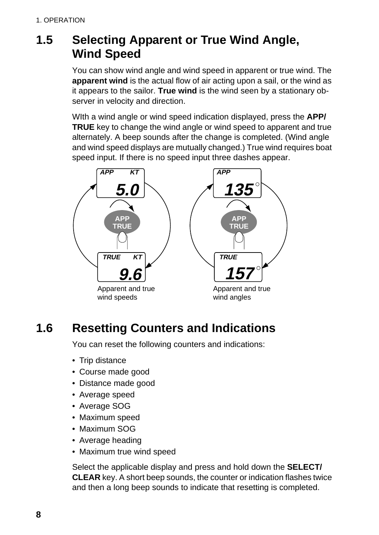# **1.5 Selecting Apparent or True Wind Angle, Wind Speed**

You can show wind angle and wind speed in apparent or true wind. The **apparent wind** is the actual flow of air acting upon a sail, or the wind as it appears to the sailor. **True wind** is the wind seen by a stationary observer in velocity and direction.

WIth a wind angle or wind speed indication displayed, press the **APP/ TRUE** key to change the wind angle or wind speed to apparent and true alternately. A beep sounds after the change is completed. (Wind angle and wind speed displays are mutually changed.) True wind requires boat speed input. If there is no speed input three dashes appear.



# **1.6 Resetting Counters and Indications**

You can reset the following counters and indications:

- Trip distance
- Course made good
- Distance made good
- Average speed
- Average SOG
- Maximum speed
- Maximum SOG
- Average heading
- Maximum true wind speed

Select the applicable display and press and hold down the **SELECT/ CLEAR** key. A short beep sounds, the counter or indication flashes twice and then a long beep sounds to indicate that resetting is completed.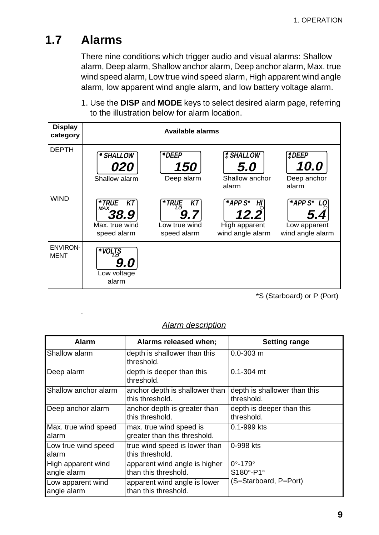# **1.7 Alarms**

.

There nine conditions which trigger audio and visual alarms: Shallow alarm, Deep alarm, Shallow anchor alarm, Deep anchor alarm, Max. true wind speed alarm, Low true wind speed alarm, High apparent wind angle alarm, low apparent wind angle alarm, and low battery voltage alarm.

1. Use the **DISP** and **MODE** keys to select desired alarm page, referring to the illustration below for alarm location.

| <b>Display</b><br>category     | <b>Available alarms</b>                                            |                                                   |                                                                   |                                                               |
|--------------------------------|--------------------------------------------------------------------|---------------------------------------------------|-------------------------------------------------------------------|---------------------------------------------------------------|
| <b>DEPTH</b>                   | * SHALLOW<br><i>020</i><br>Shallow alarm                           | *DEEP<br><i><b>150</b></i><br>Deep alarm          | <b><i>SHALLOW</i></b><br>5.0<br>Shallow anchor<br>alarm           | $\bigcirc$ DEEP<br><i><b>10.0</b></i><br>Deep anchor<br>alarm |
| <b>WIND</b>                    | *TRUE<br>КT<br><b>MAX</b><br>38.9<br>Max. true wind<br>speed alarm | *TRUE<br>ΚT<br>LΟ<br>Low true wind<br>speed alarm | $^*$ APP $S^*$<br>ΗI<br>12.2<br>High apparent<br>wind angle alarm | *APP S*<br>Low apparent<br>wind angle alarm                   |
| <b>ENVIRON-</b><br><b>MENT</b> | <b>VOLTS</b><br>LO<br>9.0<br>Low voltage<br>alarm                  |                                                   |                                                                   |                                                               |

\*S (Starboard) or P (Port)

| <b>Alarm</b>                      | Alarms released when;                                   | <b>Setting range</b>                       |
|-----------------------------------|---------------------------------------------------------|--------------------------------------------|
| Shallow alarm                     | depth is shallower than this<br>threshold.              | $0.0 - 303$ m                              |
| Deep alarm                        | depth is deeper than this<br>threshold.                 | $0.1 - 304$ mt                             |
| Shallow anchor alarm              | anchor depth is shallower than<br>this threshold.       | depth is shallower than this<br>threshold. |
| Deep anchor alarm                 | anchor depth is greater than<br>this threshold.         | depth is deeper than this<br>threshold.    |
| Max. true wind speed<br>alarm     | max. true wind speed is<br>greater than this threshold. | 0.1-999 kts                                |
| Low true wind speed<br>alarm      | true wind speed is lower than<br>this threshold.        | 0-998 kts                                  |
| High apparent wind<br>angle alarm | apparent wind angle is higher<br>than this threshold.   | $0^\circ - 179^\circ$<br>S180°-P1°         |
| Low apparent wind<br>angle alarm  | apparent wind angle is lower<br>than this threshold.    | (S=Starboard, P=Port)                      |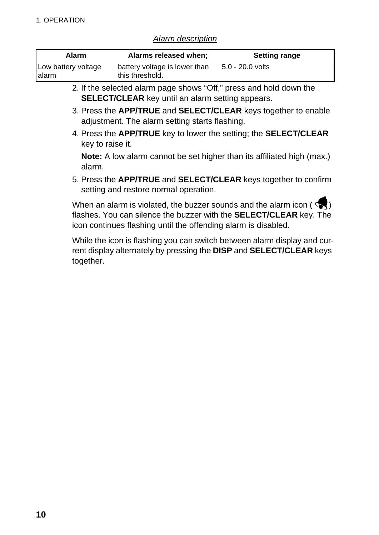#### *Alarm description*

| Alarm               | Alarms released when;         | <b>Setting range</b> |
|---------------------|-------------------------------|----------------------|
| Low battery voltage | battery voltage is lower than | $ 5.0 - 20.0$ volts  |
| <b>l</b> alarm      | this threshold.               |                      |

- 2. If the selected alarm page shows "Off," press and hold down the **SELECT/CLEAR** key until an alarm setting appears.
- 3. Press the **APP/TRUE** and **SELECT/CLEAR** keys together to enable adjustment. The alarm setting starts flashing.
- 4. Press the **APP/TRUE** key to lower the setting; the **SELECT/CLEAR** key to raise it.

**Note:** A low alarm cannot be set higher than its affiliated high (max.) alarm.

5. Press the **APP/TRUE** and **SELECT/CLEAR** keys together to confirm setting and restore normal operation.

When an alarm is violated, the buzzer sounds and the alarm icon ( $\leq$ ) flashes. You can silence the buzzer with the **SELECT/CLEAR** key. The icon continues flashing until the offending alarm is disabled.

While the icon is flashing you can switch between alarm display and current display alternately by pressing the **DISP** and **SELECT/CLEAR** keys together.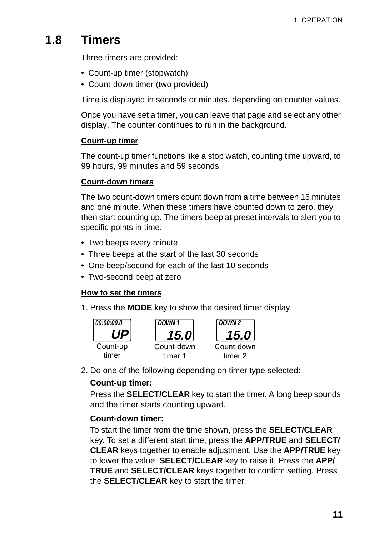# **1.8 Timers**

Three timers are provided:

- Count-up timer (stopwatch)
- Count-down timer (two provided)

Time is displayed in seconds or minutes, depending on counter values.

Once you have set a timer, you can leave that page and select any other display. The counter continues to run in the background.

## **Count-up timer**

The count-up timer functions like a stop watch, counting time upward, to 99 hours, 99 minutes and 59 seconds.

## **Count-down timers**

The two count-down timers count down from a time between 15 minutes and one minute. When these timers have counted down to zero, they then start counting up. The timers beep at preset intervals to alert you to specific points in time.

- Two beeps every minute
- Three beeps at the start of the last 30 seconds
- One beep/second for each of the last 10 seconds
- Two-second beep at zero

## **How to set the timers**

1. Press the **MODE** key to show the desired timer display.



2. Do one of the following depending on timer type selected:

## **Count-up timer:**

Press the **SELECT/CLEAR** key to start the timer. A long beep sounds and the timer starts counting upward.

## **Count-down timer:**

To start the timer from the time shown, press the **SELECT/CLEAR** key. To set a different start time, press the **APP/TRUE** and **SELECT/ CLEAR** keys together to enable adjustment. Use the **APP/TRUE** key to lower the value; **SELECT/CLEAR** key to raise it. Press the **APP/ TRUE** and **SELECT/CLEAR** keys together to confirm setting. Press the **SELECT/CLEAR** key to start the timer.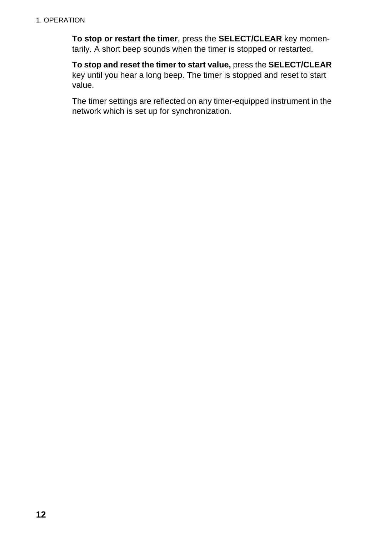**To stop or restart the timer**, press the **SELECT/CLEAR** key momentarily. A short beep sounds when the timer is stopped or restarted.

**To stop and reset the timer to start value,** press the **SELECT/CLEAR** key until you hear a long beep. The timer is stopped and reset to start value.

The timer settings are reflected on any timer-equipped instrument in the network which is set up for synchronization.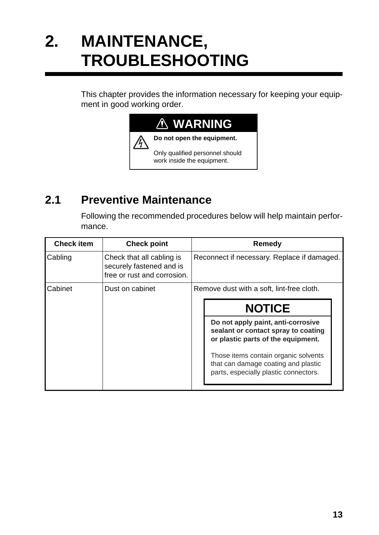# **2. MAINTENANCE, TROUBLESHOOTING**

This chapter provides the information necessary for keeping your equipment in good working order.



# **2.1 Preventive Maintenance**

Following the recommended procedures below will help maintain performance.

| <b>Check point</b>                                                                   | <b>Remedy</b>                               |                                                                                                                      |  |  |
|--------------------------------------------------------------------------------------|---------------------------------------------|----------------------------------------------------------------------------------------------------------------------|--|--|
| Check that all cabling is<br>securely fastened and is<br>free or rust and corrosion. | Reconnect if necessary. Replace if damaged. |                                                                                                                      |  |  |
| Dust on cabinet                                                                      | Remove dust with a soft, lint-free cloth.   |                                                                                                                      |  |  |
|                                                                                      |                                             | <b>NOTICE</b>                                                                                                        |  |  |
|                                                                                      |                                             | Do not apply paint, anti-corrosive<br>sealant or contact spray to coating<br>or plastic parts of the equipment.      |  |  |
|                                                                                      |                                             | Those items contain organic solvents<br>that can damage coating and plastic<br>parts, especially plastic connectors. |  |  |
|                                                                                      |                                             |                                                                                                                      |  |  |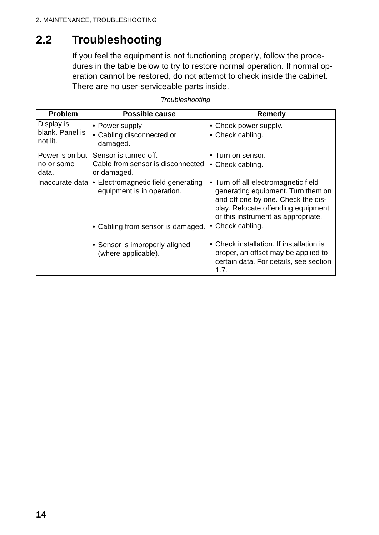# **2.2 Troubleshooting**

If you feel the equipment is not functioning properly, follow the procedures in the table below to try to restore normal operation. If normal operation cannot be restored, do not attempt to check inside the cabinet. There are no user-serviceable parts inside.

| <b>Problem</b>                            | <b>Possible cause</b>                                                              | Remedy                                                                                                                                                                                     |
|-------------------------------------------|------------------------------------------------------------------------------------|--------------------------------------------------------------------------------------------------------------------------------------------------------------------------------------------|
| Display is<br>blank. Panel is<br>not lit. | • Power supply<br>• Cabling disconnected or<br>damaged.                            | • Check power supply.<br>• Check cabling.                                                                                                                                                  |
| Power is on but<br>no or some<br>data.    | Sensor is turned off.<br>Cable from sensor is disconnected<br>or damaged.          | • Turn on sensor.<br>• Check cabling.                                                                                                                                                      |
|                                           | Inaccurate data   • Electromagnetic field generating<br>equipment is in operation. | Turn off all electromagnetic field<br>generating equipment. Turn them on<br>and off one by one. Check the dis-<br>play. Relocate offending equipment<br>or this instrument as appropriate. |
|                                           | • Cabling from sensor is damaged.                                                  | • Check cabling.                                                                                                                                                                           |
|                                           | • Sensor is improperly aligned<br>(where applicable).                              | • Check installation. If installation is<br>proper, an offset may be applied to<br>certain data. For details, see section<br>1.7.                                                          |

#### *Troubleshooting*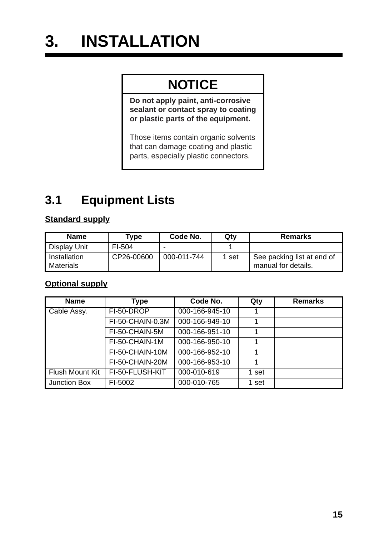# **3. INSTALLATION**

# **NOTICE**

**Do not apply paint, anti-corrosive sealant or contact spray to coating or plastic parts of the equipment.** 

Those items contain organic solvents that can damage coating and plastic parts, especially plastic connectors.

# **3.1 Equipment Lists**

# **Standard supply**

| <b>Name</b>                      | Type       | Code No.    | Qty   | <b>Remarks</b>                                    |
|----------------------------------|------------|-------------|-------|---------------------------------------------------|
| <b>Display Unit</b>              | FI-504     |             |       |                                                   |
| Installation<br><b>Materials</b> | CP26-00600 | 000-011-744 | 1 set | See packing list at end of<br>manual for details. |

## **Optional supply**

| <b>Name</b>            | <b>Type</b>      | Code No.       | Qty   | <b>Remarks</b> |
|------------------------|------------------|----------------|-------|----------------|
| Cable Assy.            | FI-50-DROP       | 000-166-945-10 |       |                |
|                        | FI-50-CHAIN-0.3M | 000-166-949-10 |       |                |
|                        | FI-50-CHAIN-5M   | 000-166-951-10 |       |                |
|                        | FI-50-CHAIN-1M   | 000-166-950-10 |       |                |
|                        | FI-50-CHAIN-10M  | 000-166-952-10 |       |                |
|                        | FI-50-CHAIN-20M  | 000-166-953-10 |       |                |
| <b>Flush Mount Kit</b> | FI-50-FLUSH-KIT  | 000-010-619    | 1 set |                |
| Junction Box           | FI-5002          | 000-010-765    | 1 set |                |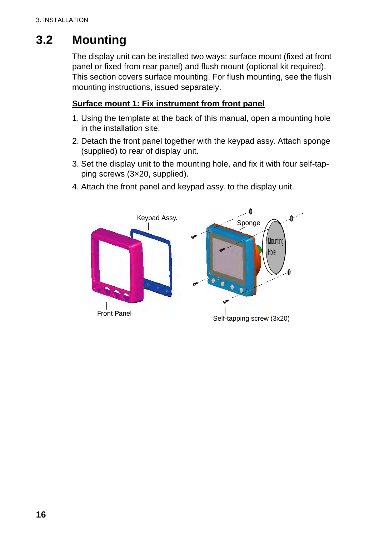# **3.2 Mounting**

The display unit can be installed two ways: surface mount (fixed at front panel or fixed from rear panel) and flush mount (optional kit required). This section covers surface mounting. For flush mounting, see the flush mounting instructions, issued separately.

#### **Surface mount 1: Fix instrument from front panel**

- 1. Using the template at the back of this manual, open a mounting hole in the installation site.
- 2. Detach the front panel together with the keypad assy. Attach sponge (supplied) to rear of display unit.
- 3. Set the display unit to the mounting hole, and fix it with four self-tapping screws (3×20, supplied).
- 4. Attach the front panel and keypad assy. to the display unit.

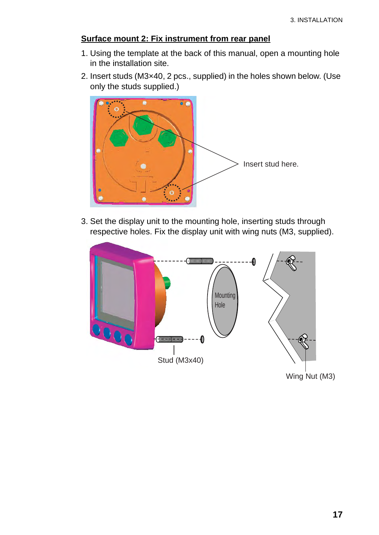#### **Surface mount 2: Fix instrument from rear panel**

- 1. Using the template at the back of this manual, open a mounting hole in the installation site.
- 2. Insert studs (M3×40, 2 pcs., supplied) in the holes shown below. (Use only the studs supplied.)



3. Set the display unit to the mounting hole, inserting studs through respective holes. Fix the display unit with wing nuts (M3, supplied).

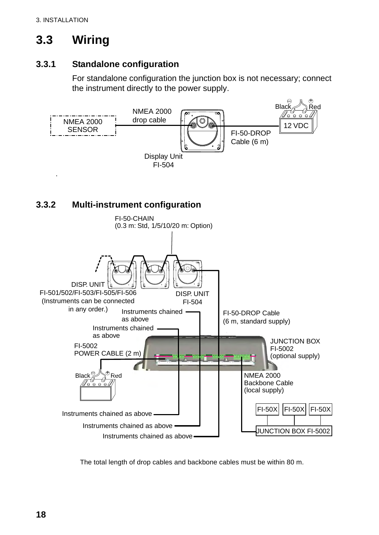# **3.3 Wiring**

## **3.3.1 Standalone configuration**

For standalone configuration the junction box is not necessary; connect the instrument directly to the power supply.



The total length of drop cables and backbone cables must be within 80 m.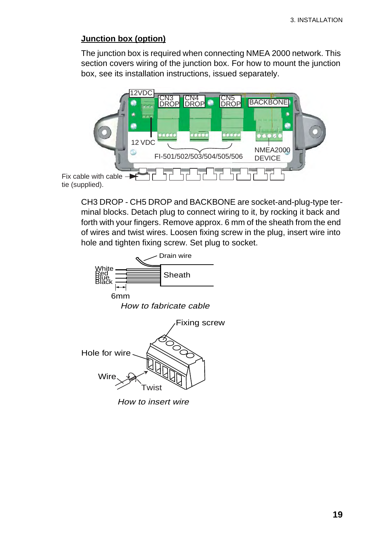#### **Junction box (option)**

The junction box is required when connecting NMEA 2000 network. This section covers wiring of the junction box. For how to mount the junction box, see its installation instructions, issued separately.



CH3 DROP - CH5 DROP and BACKBONE are socket-and-plug-type terminal blocks. Detach plug to connect wiring to it, by rocking it back and forth with your fingers. Remove approx. 6 mm of the sheath from the end of wires and twist wires. Loosen fixing screw in the plug, insert wire into hole and tighten fixing screw. Set plug to socket.

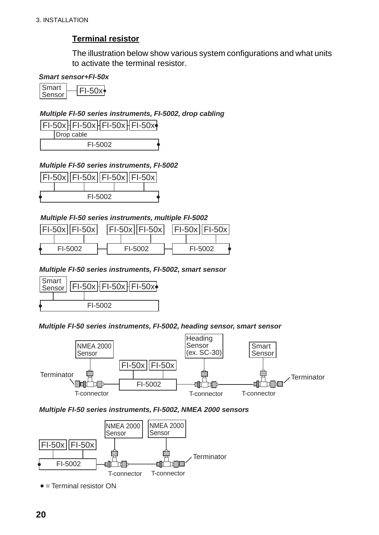## **Terminal resistor**

The illustration below show various system configurations and what units to activate the terminal resistor.

#### *Smart sensor+FI-50x*

 $Smart$   $\overline{F1-50x}$ Sensor

#### *Multiple FI-50 series instruments, FI-5002, drop cabling*

|  | Drop cable |  |  |  |
|--|------------|--|--|--|
|  | FI-5002    |  |  |  |

#### *Multiple FI-50 series instruments, FI-5002*



#### *Multiple FI-50 series instruments, multiple FI-5002*

| $ F -50x  F -50x $ |  | $ F -50x  F -50x $ |  | $ F -50x  F -50x $ |  |
|--------------------|--|--------------------|--|--------------------|--|
|                    |  |                    |  |                    |  |
| FI-5002            |  | FI-5002            |  | FI-5002            |  |

#### *Multiple FI-50 series instruments, FI-5002, smart sensor*



#### *Multiple FI-50 series instruments, FI-5002, heading sensor, smart sensor*



#### *Multiple FI-50 series instruments, FI-5002, NMEA 2000 sensors*



 $\bullet$  = Terminal resistor ON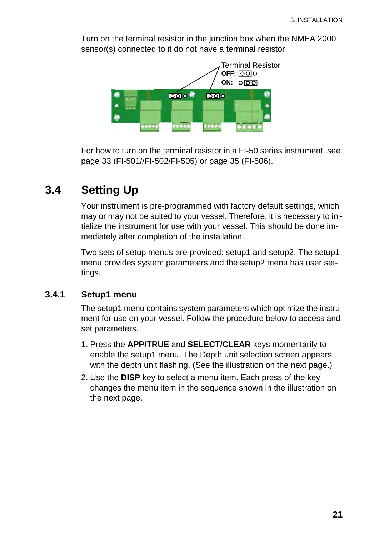Turn on the terminal resistor in the junction box when the NMEA 2000 sensor(s) connected to it do not have a terminal resistor.



For how to turn on the terminal resistor in a FI-50 series instrument, see page 33 (FI-501//FI-502/FI-505) or page 35 (FI-506).

# **3.4 Setting Up**

Your instrument is pre-programmed with factory default settings, which may or may not be suited to your vessel. Therefore, it is necessary to initialize the instrument for use with your vessel. This should be done immediately after completion of the installation.

Two sets of setup menus are provided: setup1 and setup2. The setup1 menu provides system parameters and the setup2 menu has user settings.

## **3.4.1 Setup1 menu**

The setup1 menu contains system parameters which optimize the instrument for use on your vessel. Follow the procedure below to access and set parameters.

- 1. Press the **APP/TRUE** and **SELECT/CLEAR** keys momentarily to enable the setup1 menu. The Depth unit selection screen appears, with the depth unit flashing. (See the illustration on the next page.)
- 2. Use the **DISP** key to select a menu item. Each press of the key changes the menu item in the sequence shown in the illustration on the next page.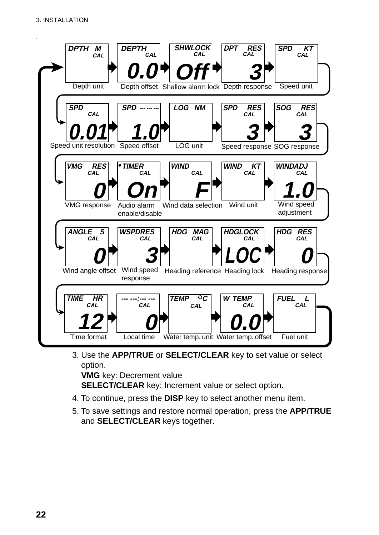

3. Use the **APP/TRUE** or **SELECT/CLEAR** key to set value or select option.

**VMG** key: Decrement value

**SELECT/CLEAR** key: Increment value or select option.

- 4. To continue, press the **DISP** key to select another menu item.
- 5. To save settings and restore normal operation, press the **APP/TRUE** and **SELECT/CLEAR** keys together.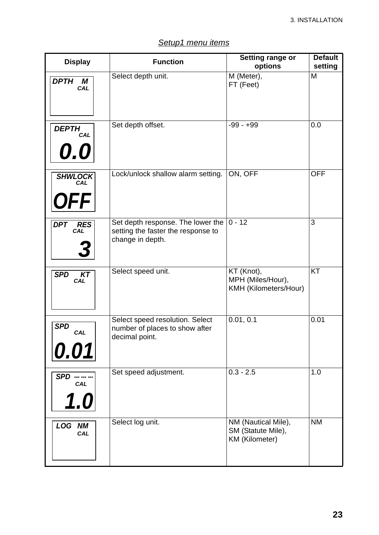| <b>Display</b>                         | <b>Function</b>                                                                                        | Setting range or<br>options                                        | <b>Default</b><br>setting |  |
|----------------------------------------|--------------------------------------------------------------------------------------------------------|--------------------------------------------------------------------|---------------------------|--|
| <b>DPTH</b><br>М<br>CAL                | Select depth unit.                                                                                     | M (Meter),<br>FT (Feet)                                            | M                         |  |
| <b>DEPTH</b><br><b>CAL</b><br>0.0      | Set depth offset.                                                                                      | $-99 - +99$                                                        | 0.0                       |  |
| <b>SHWLOCK</b><br>CAL<br><b>OFF</b>    | Lock/unlock shallow alarm setting.                                                                     | ON, OFF                                                            | <b>OFF</b>                |  |
| <b>DPT</b><br><b>RES</b><br><b>CAL</b> | Set depth response. The lower the $ 0 - 12 $<br>setting the faster the response to<br>change in depth. |                                                                    | 3                         |  |
| <b>SPD</b><br><b>KT</b><br><b>CAL</b>  | Select speed unit.                                                                                     | KT (Knot),<br>MPH (Miles/Hour),<br>KMH (Kilometers/Hour)           | <b>KT</b>                 |  |
| <b>SPD</b><br>CAL<br>0.01              | Select speed resolution. Select<br>number of places to show after<br>decimal point.                    | 0.01, 0.1                                                          | 0.01                      |  |
| <b>SPD</b><br>CAL<br>1.0               | Set speed adjustment.                                                                                  | $0.3 - 2.5$                                                        | 1.0                       |  |
| <b>LOG NM</b><br>CAL                   | Select log unit.                                                                                       | NM (Nautical Mile),<br>SM (Statute Mile),<br><b>KM</b> (Kilometer) | <b>NM</b>                 |  |

## *Setup1 menu items*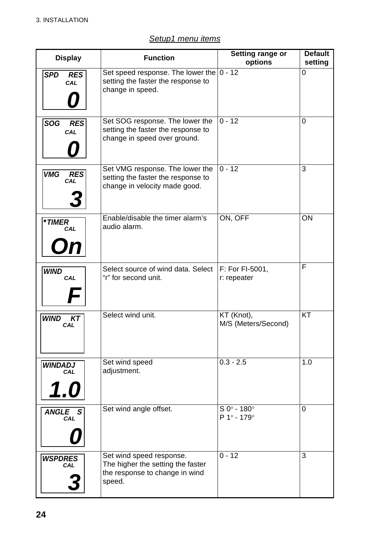| Setup1 menu items |  |
|-------------------|--|
|                   |  |

| <b>Display</b>                         | <b>Function</b>                                                                                           | Setting range or<br>options                               | <b>Default</b><br>setting |
|----------------------------------------|-----------------------------------------------------------------------------------------------------------|-----------------------------------------------------------|---------------------------|
| <b>SPD</b><br><b>RES</b><br>CAL        | Set speed response. The lower the $ 0 - 12$<br>setting the faster the response to<br>change in speed.     |                                                           | 0                         |
| <b>SOG</b><br><b>RES</b><br>CAL        | Set SOG response. The lower the<br>setting the faster the response to<br>change in speed over ground.     | $0 - 12$                                                  | 0                         |
| <b>VMG</b><br><b>RES</b><br>CAL        | Set VMG response. The lower the<br>setting the faster the response to<br>change in velocity made good.    | $0 - 12$                                                  | 3                         |
| <sup>*</sup> TIMER<br><b>CAL</b><br>On | Enable/disable the timer alarm's<br>audio alarm.                                                          | ON, OFF                                                   | ON                        |
| <b>WIND</b><br><b>CAL</b>              | Select source of wind data. Select<br>"r" for second unit.                                                | <b>F: For FI-5001,</b><br>r: repeater                     | F                         |
| <b>WIND</b><br>KT<br><b>CAL</b>        | Select wind unit.                                                                                         | KT (Knot),<br>M/S (Meters/Second)                         | KT                        |
| <b>WINDADJ</b><br><b>CAL</b><br>1.0    | Set wind speed<br>adjustment.                                                                             | $0.3 - 2.5$                                               | 1.0                       |
| ANGLE S<br><b>CAL</b>                  | Set wind angle offset.                                                                                    | $S_0^\circ$ - 180 $^\circ$<br>$P 1^{\circ} - 179^{\circ}$ | 0                         |
| <b>WSPDRES</b><br><b>CAL</b>           | Set wind speed response.<br>The higher the setting the faster<br>the response to change in wind<br>speed. | $0 - 12$                                                  | 3                         |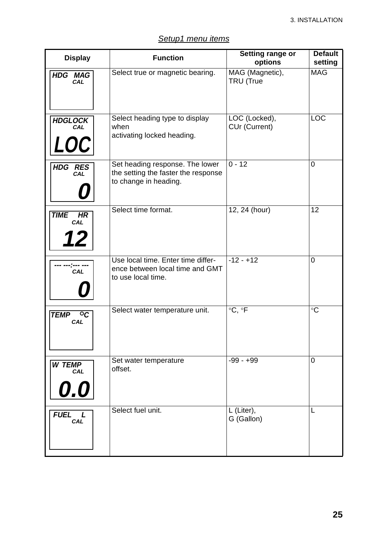| Setup1 menu items |
|-------------------|
|-------------------|

| <b>Display</b>                             | <b>Function</b>                                                                                 | Setting range or<br>options    | <b>Default</b><br>setting |  |
|--------------------------------------------|-------------------------------------------------------------------------------------------------|--------------------------------|---------------------------|--|
| <b>HDG MAG</b><br><b>CAL</b>               | Select true or magnetic bearing.                                                                | MAG (Magnetic),<br>TRU (True   | <b>MAG</b>                |  |
| <b>HDGLOCK</b><br>CAL<br><i><b>LOC</b></i> | Select heading type to display<br>when<br>activating locked heading.                            | LOC (Locked),<br>CUr (Current) | <b>LOC</b>                |  |
| HDG RES<br>CAL                             | Set heading response. The lower<br>the setting the faster the response<br>to change in heading. | $0 - 12$                       | 0                         |  |
| <b>TIME</b><br>HR<br><b>CAL</b><br>12      | Select time format.                                                                             | 12, 24 (hour)                  | 12                        |  |
| CAL                                        | Use local time. Enter time differ-<br>ence between local time and GMT<br>to use local time.     | $-12 - +12$                    | 0                         |  |
| <b>TEMP</b><br>$\circ c$<br>CAL            | Select water temperature unit.                                                                  | $\circ$ C, $\circ$ F           | $\circ$ C                 |  |
| <b>W TEMP</b><br><b>CAL</b><br>0.0         | Set water temperature<br>offset.                                                                | $-99 - +99$                    | 0                         |  |
| FUEL L<br>CAL                              | Select fuel unit.                                                                               | L (Liter),<br>G (Gallon)       | L                         |  |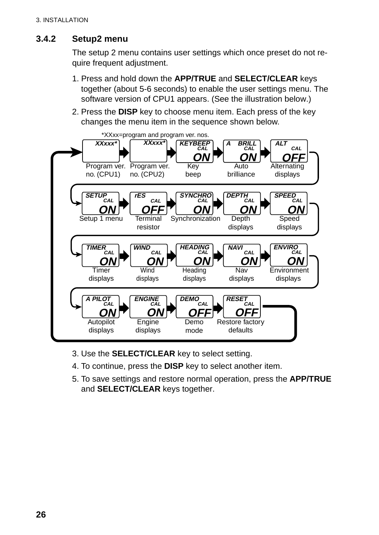## **3.4.2 Setup2 menu**

The setup 2 menu contains user settings which once preset do not require frequent adjustment.

- 1. Press and hold down the **APP/TRUE** and **SELECT/CLEAR** keys together (about 5-6 seconds) to enable the user settings menu. The software version of CPU1 appears. (See the illustration below.)
- 2. Press the **DISP** key to choose menu item. Each press of the key changes the menu item in the sequence shown below.



- 3. Use the **SELECT/CLEAR** key to select setting.
- 4. To continue, press the **DISP** key to select another item.
- 5. To save settings and restore normal operation, press the **APP/TRUE** and **SELECT/CLEAR** keys together.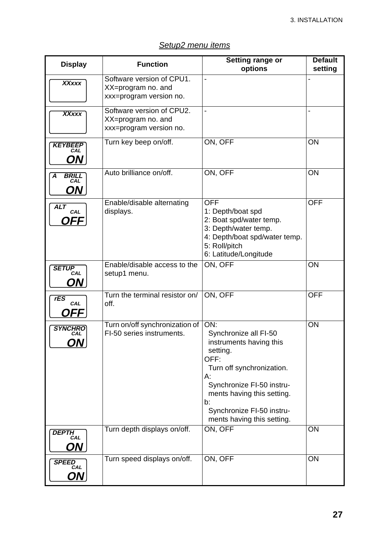#### *Setup2 menu items*

|                                                      | <b>Function</b>                                                                            | <b>Setting range or</b>                                                                                                                                                                                                                               | <b>Default</b> |  |
|------------------------------------------------------|--------------------------------------------------------------------------------------------|-------------------------------------------------------------------------------------------------------------------------------------------------------------------------------------------------------------------------------------------------------|----------------|--|
| <b>Display</b>                                       |                                                                                            | options                                                                                                                                                                                                                                               | setting        |  |
| <b>XXxxx</b>                                         | Software version of CPU1.<br>XX=program no. and<br>xxx=program version no.                 |                                                                                                                                                                                                                                                       |                |  |
| <b>XXxxx</b>                                         | Software version of CPU2.<br>XX=program no. and<br>xxx=program version no.                 | L,                                                                                                                                                                                                                                                    |                |  |
| <b>KEYBEEP</b><br>ON                                 | Turn key beep on/off.                                                                      | ON, OFF                                                                                                                                                                                                                                               | ON             |  |
| <b>BRILL</b><br>A<br>CAL<br>ON                       | Auto brilliance on/off.                                                                    | ON, OFF                                                                                                                                                                                                                                               | ON             |  |
| <b>ALT</b><br>CAL<br>OFF                             | Enable/disable alternating<br>displays.                                                    | <b>OFF</b><br>1: Depth/boat spd<br>2: Boat spd/water temp.<br>3: Depth/water temp.<br>4: Depth/boat spd/water temp.<br>5: Roll/pitch<br>6: Latitude/Longitude                                                                                         | <b>OFF</b>     |  |
| <b>SETUP</b><br>CAL<br>ON                            | Enable/disable access to the<br>setup1 menu.                                               | ON, OFF                                                                                                                                                                                                                                               | ON             |  |
| rES<br>CAL<br>OFF                                    | Turn the terminal resistor on/<br>off.                                                     | ON, OFF                                                                                                                                                                                                                                               | <b>OFF</b>     |  |
| <b>SYNCHRO</b><br>CAL<br>ON J<br><b>DEPTH</b><br>CAL | Turn on/off synchronization of<br>FI-50 series instruments.<br>Turn depth displays on/off. | ON:<br>Synchronize all FI-50<br>instruments having this<br>setting.<br>OFF:<br>Turn off synchronization.<br>А:<br>Synchronize FI-50 instru-<br>ments having this setting.<br>b:<br>Synchronize FI-50 instru-<br>ments having this setting.<br>ON, OFF | ON<br>ON       |  |
| ON                                                   |                                                                                            |                                                                                                                                                                                                                                                       |                |  |
| <b>SPEED</b><br>CAL<br>ON                            | Turn speed displays on/off.                                                                | ON, OFF                                                                                                                                                                                                                                               | ON             |  |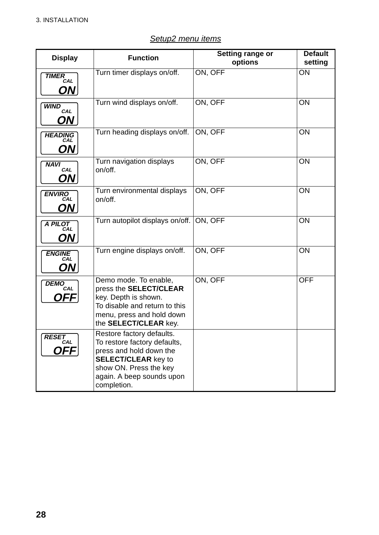| <b>Display</b>                    | <b>Function</b>                                                                                                                                                                          | Setting range or<br>options | <b>Default</b><br>setting |
|-----------------------------------|------------------------------------------------------------------------------------------------------------------------------------------------------------------------------------------|-----------------------------|---------------------------|
| <b>TIMER</b><br>CAL<br>ON J       | Turn timer displays on/off.                                                                                                                                                              | ON, OFF                     | ON                        |
| <b>WIND</b><br>CAL<br>ON          | Turn wind displays on/off.                                                                                                                                                               | ON, OFF                     | ON                        |
| <b>HEADING</b><br>CAL<br>ON.      | Turn heading displays on/off.                                                                                                                                                            | ON, OFF                     | ON                        |
| <b>NAVI</b><br>CAL<br>ON          | Turn navigation displays<br>on/off.                                                                                                                                                      | ON, OFF                     | ON                        |
| <b>ENVIRO</b><br>CAL<br>ON        | Turn environmental displays<br>on/off.                                                                                                                                                   | ON, OFF                     | ON                        |
| A PILOT<br>CAL<br>ON              | Turn autopilot displays on/off.                                                                                                                                                          | ON, OFF                     | ON                        |
| <b>ENGINE</b><br>CAL<br><b>ON</b> | Turn engine displays on/off.                                                                                                                                                             | ON, OFF                     | ON                        |
| <b>DEMO</b><br>CAL<br>OFFI        | Demo mode. To enable,<br>press the SELECT/CLEAR<br>key. Depth is shown.<br>To disable and return to this<br>menu, press and hold down<br>the SELECT/CLEAR key.                           | ON, OFF                     | <b>OFF</b>                |
| <b>RESET</b><br>CAL<br>OFF.       | Restore factory defaults.<br>To restore factory defaults,<br>press and hold down the<br><b>SELECT/CLEAR key to</b><br>show ON. Press the key<br>again. A beep sounds upon<br>completion. |                             |                           |

#### *Setup2 menu items*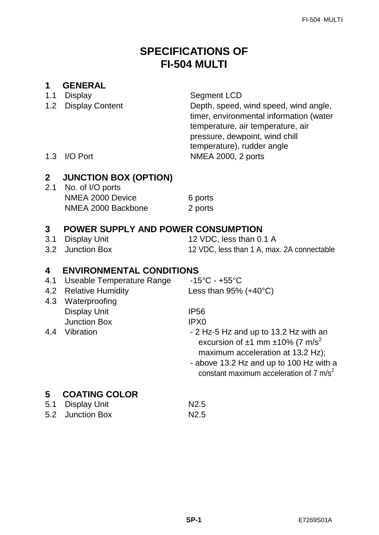# **SPECIFICATIONS OF FI-504 MULTI**

## **1 GENERAL**

- 1.1 Display Segment LCD
- 

1.2 Display Content Depth, speed, wind speed, wind angle, timer, environmental information (water temperature, air temperature, air pressure, dewpoint, wind chill temperature), rudder angle 1.3 I/O Port NMEA 2000, 2 ports

## **2 JUNCTION BOX (OPTION)**

2.1 No. of I/O ports NMEA 2000 Device 6 ports NMEA 2000 Backbone 2 ports

## **3 POWER SUPPLY AND POWER CONSUMPTION**

- 
- 

3.1 Display Unit 12 VDC, less than 0.1 A 3.2 Junction Box 12 VDC, less than 1 A, max. 2A connectable

## **4 ENVIRONMENTAL CONDITIONS**

- 4.1 Useable Temperature Range -15°C +55°C
- 4.2 Relative Humidity Less than 95% (+40°C)
- 4.3 Waterproofing Display Unit **IP56** Junction Box IPX0
- 

- 
- 4.4 Vibration  **2 Hz-5 Hz and up to 13.2 Hz with an** excursion of  $\pm 1$  mm  $\pm 10\%$  (7 m/s<sup>2</sup>) maximum acceleration at 13.2 Hz);
	- above 13.2 Hz and up to 100 Hz with a constant maximum acceleration of  $7 \text{ m/s}^2$

## **5 COATING COLOR**

5.1 Display Unit N2.5 5.2 Junction Box N2.5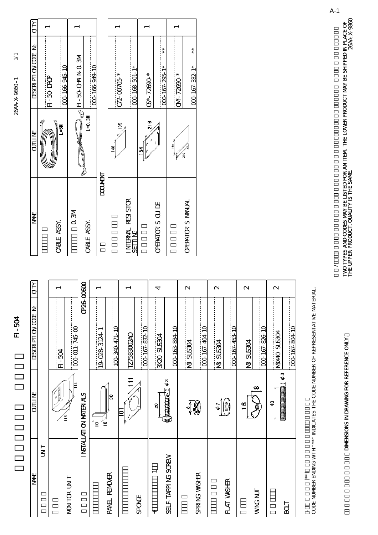$\geq$  $22-288\times$  380 - 1  $20-1$   $288\times$  360  $1$ 2644-X-986C-1 NAME OUTLINE QUESTION DESCRIPTION DESCRIPTION DESCRIPTION DESCRIPTION

**OULLINE** 

**BNA** 

 $1 - 504$ 

 $\overline{Q}$ 

**DESCRIPTION CODE** 

| <b>TNANT</b>       | <b>SALTIC</b>                                                         | <b>ESSER PTI OV CODE</b> | <b>ALD</b>        |  |
|--------------------|-----------------------------------------------------------------------|--------------------------|-------------------|--|
| $\overline{5}$     |                                                                       |                          |                   |  |
|                    | $\frac{2}{18}$                                                        | <b>RD-504</b>            |                   |  |
| MON TOR UN T       | Ë                                                                     | 000-011-745-00           |                   |  |
|                    | I NSTALLATI ON MATERIALS                                              | <b>CP26-CC600</b>        |                   |  |
|                    | ั≘<br>$\overline{e}$                                                  | 19-028-3124-1            |                   |  |
| PANEL RENOMER      | ౹ఇ                                                                    | 100-340-471-10           |                   |  |
|                    |                                                                       | TZ7583002AO              |                   |  |
| <b>SPONE</b>       |                                                                       | 000-167-832-10           |                   |  |
| $\ddot{}$          | $\overline{\mathbf{c}}$                                               | <b>POSSIS OCXE</b>       | 4                 |  |
| SELF-TAPPING SCREW | $\phi$ 3<br><b>Equipment</b>                                          | 000-163-884-10           |                   |  |
|                    |                                                                       | <b>NB SUS304</b>         | $\mathbf{\Omega}$ |  |
| SPRING WASHER      | 0                                                                     | 00-167-404-10            |                   |  |
|                    | ΦT                                                                    | <b>N&amp; SUS304</b>     | $\mathbf{\Omega}$ |  |
| FLAT VASHER        | $(\!\!\! \begin{smallmatrix} 0 \\ 0 \end{smallmatrix}\!\!\! \text{)}$ | 000-167-453-10           |                   |  |
|                    | $\mathbf{e}$                                                          | <b>NB3US304</b>          | $\mathbf{\Omega}$ |  |
| VVNG NJT           | $\infty$                                                              | 000 167-826-10           |                   |  |
|                    | $\phi$ 3<br><b>Communications</b><br>$\overline{40}$                  | <b>HOSSIS OPXIN</b>      | $\mathbf{\Omega}$ |  |
| Lœ                 |                                                                       | 000-167-804-10           |                   |  |

|                              |                      | FI-50 DROP              |  |
|------------------------------|----------------------|-------------------------|--|
| CABLE ASSY.                  | <b>ED-1</b>          | 000-166-945-10          |  |
| $\overline{a}$               |                      | <b>NE ON PHOCE-LIVE</b> |  |
| CABLE ASSY.                  | $L=0.3M$             | 000-166-949-10          |  |
| <b>Navacco</b>               |                      |                         |  |
|                              | 105<br>$\frac{8}{4}$ | C72-00705 *             |  |
| INTERNAL RESISTOR<br>שו<br>க |                      | 000-168-501-1*          |  |
|                              | $\frac{8}{216}$<br>ž | 05*-72690.*             |  |
| <b>CERATOR S QUIDE</b>       |                      | $* *$<br>000-167-295-1* |  |
|                              | 148                  | CM-72690*               |  |
| <b>CFERATCR S MANUAL</b>     | $\frac{1}{2}$        | $* *$<br>000-167-332-1* |  |

CODE NUMBER ENDING WITH "\*\*" INDICATES THE CODE NUMBER OF REPRESENTATIVE MATERIAL.

-<br>Code number ending with " \*\*" indicates the code number of representative material.<br>.

 $\begin{bmatrix} 1 \\ 2 \end{bmatrix}$ 

TWO TYPES AND CODES MAY BE LISTED FOR AN ITEM THE LOWER PRODUCT MAY BE SHIPPED IN PLACE OF<br>THE UPPER PRODUCT. QUALITY IS THE SAME. IN DIMENSIONS IN DRAWING FOR REFERENCE ONLY.<br>THE UPPER ONLY SEERENCE ONLY A SEERENCE ONLY THE UPPER PRODUCT. QUALITY IS THE SAME. TWO TYPES AND CODES MAY BE LISTED FOR AN ITEM. THE LOWER PRODUCT MAY BE SHIPPED IN PLACE OF ード番号が288の場合、下段より上段に代わる場合、下段より上段に代わる場合、下段より上段に代わる場合、下段より上段に代わる場合、 THE UPPER PRODUCT. QUALITY IS THE SAME.

DIMENSIONS IN DRAWING FOR REFERENCE ONLY.

A-1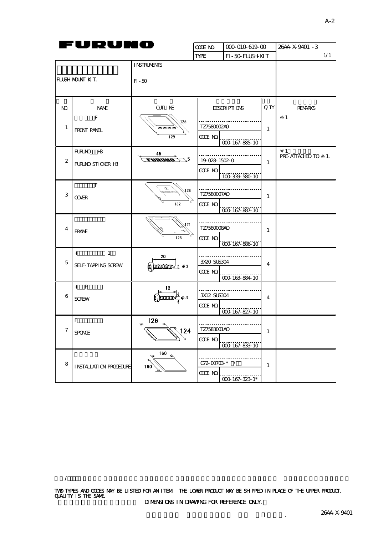| Fl<br>URU         |                          | JEC                                     | <b>CODE NO</b><br>000-010-619-00 |                     |              | 26AA-X-9401 - 3         |
|-------------------|--------------------------|-----------------------------------------|----------------------------------|---------------------|--------------|-------------------------|
|                   |                          | <b>TYPE</b><br>FI-50-FLUSH KIT          |                                  |                     | 1/1          |                         |
|                   |                          | <b>INSTRUMENTS</b>                      |                                  |                     |              |                         |
| IFLUSH MOUNT KIT. |                          | $FI - 50$                               |                                  |                     |              |                         |
| NO.               | <b>Nant</b>              | QJILI NE                                |                                  | <b>DESCRIPTIONS</b> | Q TY         | <b>RENARKS</b>          |
| 1                 | F<br>FRONT PANEL         | 125<br>6666                             |                                  | TZ7580002AO         |              | $\mathbf{1}$            |
|                   |                          | 129                                     | CODE NO.                         | 000-167-885-10      |              |                         |
|                   | FURUNO H3                | 45                                      |                                  |                     |              | 1<br>PRE-ATTACHED TO 1. |
| 2                 | FURUND STICKER H3        | EDRUMD) \5                              | 19-028-1502-0<br>CODE NO.        |                     | $\mathbf{1}$ |                         |
|                   | E                        | D                                       | .                                | 100-339-580-10      |              |                         |
| 3                 | <b>COVER</b>             | $\sqrt{128}$<br>praaansp                | TZ7580007AO                      |                     | $\mathbf{1}$ |                         |
|                   |                          | 132                                     | CODE NO.                         | 000-167-887-10      |              |                         |
| 4                 |                          | 121                                     | TZ758000840                      |                     |              |                         |
|                   | FRAME                    | 125                                     | CODE NO                          | 000-167-886-10      | $\mathbf{1}$ |                         |
|                   | $\mathbf{1}$<br>$+$      | 20                                      |                                  |                     |              |                         |
| 5                 | SELF-TAPPING SOREW       | $M$ $M$ $M$ $D$ $D$ $\uparrow$ $\phi$ 3 | <br>3X20 SUS304                  |                     | 4            |                         |
|                   |                          |                                         | CODE NO                          | 000-163-884-10      |              |                         |
|                   | $+$ P                    | 12                                      | 3X12 SUS304                      |                     |              |                         |
| 6                 | <b>SCREW</b>             |                                         | CODE NO.                         |                     | 4            |                         |
|                   |                          |                                         |                                  | 000-167-827-10      |              |                         |
| 7                 | F                        | 126                                     | TZ7583001AO                      |                     |              |                         |
|                   | SPONGE                   | 124                                     | CODE NO                          | 000-167-833-10      | $\mathbf{1}$ |                         |
|                   |                          | 160                                     |                                  |                     |              |                         |
| 8                 | I NSTALLATI ON PROCEDURE | 160                                     | C72-00703-*                      |                     | $\mathbf{1}$ |                         |
|                   |                          |                                         | CODE NO                          | 000-167-323-1*      |              |                         |

A-2

 $\lambda$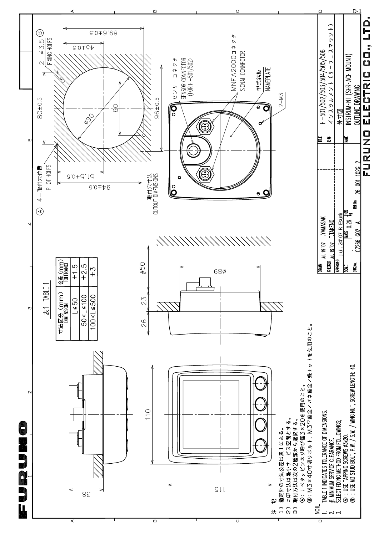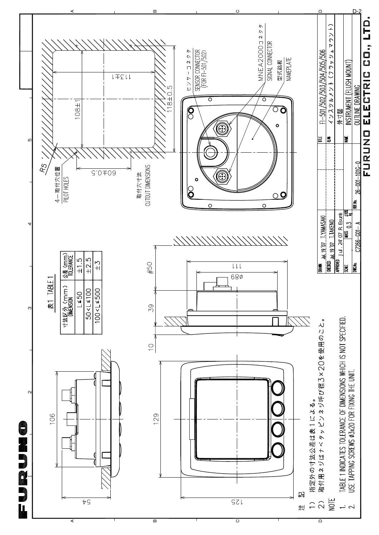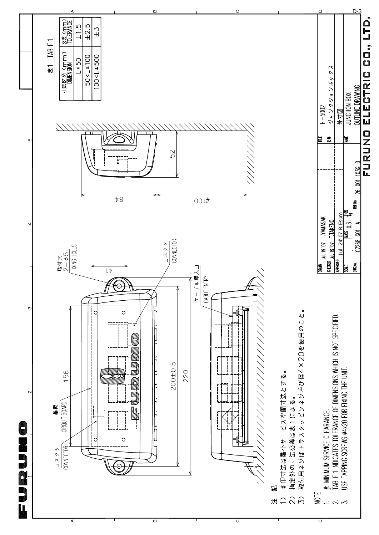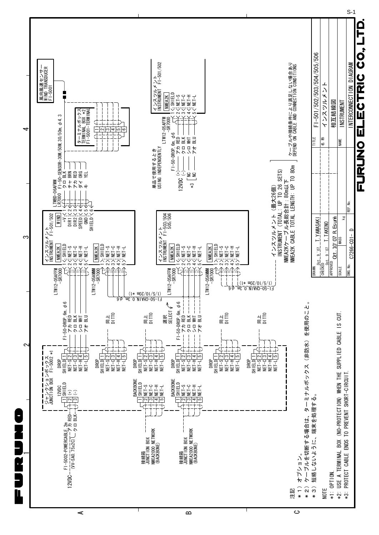

A

മ

 $\overline{\mathbf{c}}$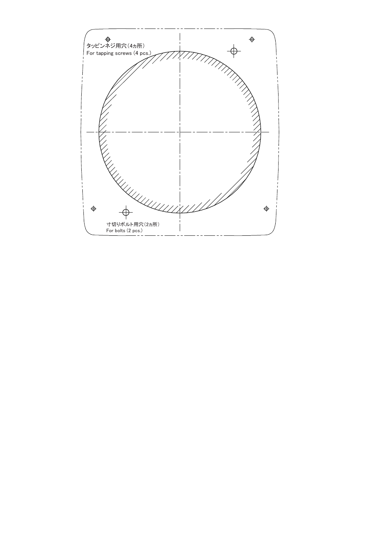